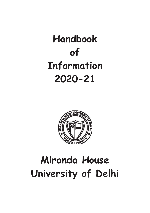# Handbook of Information 2020-21



# Miranda House University of Delhi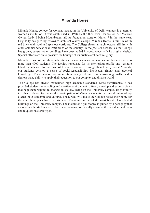#### Miranda House

Miranda House, college for women, located in the University of Delhi campus, is a premier women's institution. It was established in 1948 by the then Vice Chancellor, Sir Maurice Gwyer. Lady Edwina Mountbatten laid its foundation stone on March 7 in the same year. Originally designed by renowned architect Walter George, Miranda House is built in warm red brick with cool and spacious corridors. The College shares an architectural affinity with other colonial educational institutions of the country. In the past six decades, as the College has grown, several other buildings have been added in consonance with its original design. Special efforts are on to preserve the heritage of its pristine architectural glory.

Miranda House offers liberal education in social sciences, humanities and basic sciences to more than 4000 students. The faculty, renowned for its meritorious profile and versatile talent, is dedicated to the cause of liberal education. Through their three years at Miranda, our students develop a sense of social responsibility, intellectual rigour, and practical knowledge. They develop communication, analytical and problem-solving skills, and a demonstrated ability to apply their education to our complex and diverse world.

The College has always maintained high academic standards. More significantly, it has provided students an enabling and creative environment to freely develop and express views that help them respond to changes in society. Being on the University campus, its proximity to other colleges facilitates the participation of Miranda students in several inter-college events, both academic and cultural. Those who will make the College hostel their home for the next three years have the privilege of residing in one of the most beautiful residential buildings on the University campus. The institution's philosophy is guided by a pedagogy that encourages the students to explore new domains, to critically examine the world around them and to question stereotypes.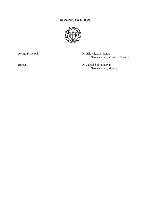#### ADMINISTRATION



Acting Principal Dr. Bijayalaxmi Nanda Department of Political Science

Bursar Dr. Janaki Subramanyan Department of Botany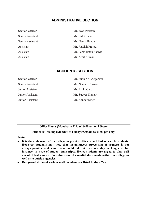#### ADMINISTRATIVE SECTION

| Section Officer  | Mr. Jyoti Prakash      |
|------------------|------------------------|
| Senior Assistant | Mr. Bal Krishan        |
| Senior Assistant | Ms. Neeru Handa        |
| Assistant        | Mr. Jagdish Prasad     |
| Assistant        | Mr. Paras Ratan Sharda |
| Assistant        | Mr. Amit Kumar         |

#### ACCOUNTS SECTION

| Section Officer  | Mr. Sudhir K. Aggarwal |
|------------------|------------------------|
| Senior Assistant | Ms. Neelam Thukral     |
| Junior Assistant | Ms. Rinki Garg         |
| Junior Assistant | Mr. Sudeep Kumar       |
| Junior Assistant | Mr. Kender Singh       |

#### Office Hours (Monday to Friday) 9.00 am to 5.00 pm

#### Students' Dealing (Monday to Friday) 9.30 am to 01.00 pm only

#### Note

- It is the endeavour of the college to provide efficient and fast service to students. However, students may note that instantaneous processing of requests is not always possible and some tasks could take at least one day or longer as for instance, in issue of student transcripts. Hence students are urged to plan well ahead of last moment for submission of essential documents within the college as well as to outside agencies.
- Designated duties of various staff members are listed in the office.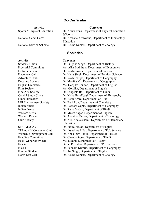#### Co-Curricular

# Activity Convenor

North East Cell Dr. Rekha Kumari, Department of Zoology

Sports & Physical Education Dr. Amita Rana, Department of Physical Education &Sports National Cadet Corps Dr. Archana Kushwaha, Department of Elementary Education National Service Scheme Dr. Rekha Kumari, Department of Zoology

#### **Societies**

#### Activity Convenor

Students Union Dr. Snigdha Singh, Department of History Proctorial Committee Ms. Alka Budhiraja, Department of Economics Editorial Ventures Dr. Rekha Arora, Department of Sanskrit Placement Cell Dr. Hena Singh, Department of Political Science Adventure Club Dr. Rakhi Parijat, Department of Geography Debating Society Dr. Monika Vij, Department of Geography English Dramatics Ms. Deepika Tandon, Department of English Film Society Ms. Gorvika, Department of English Fine Arts Society Dr. Sangeeta Rai, Department of Hindi Gandhi Study Circle Dr. Nisha BalaTyagi, Department of Philosophy Hindi Dramatics Dr. Renu Arora, Department of Hindi MH Environment Society Dr. Bani Roy, Department of Chemistry Indian Music Dr. Bashabi Gupta, Department of Geography Indian Dance Dr. Rama Yadav, Department of Hindi Western Music Dr. Meera Sagar, Department of English Western Dance Dr. Avantika Berwa, Department of Sociology Quiz Society Dr. A.R. Sitalakshami, Department of Elementary Education SPIC MACAY Dr. Indira Prasad, Department of English TULA, MH Consumer Club Dr. Jayashree Pillai, Department of Pol. Science Women's Development Cell Dr. Abha Dev Habib, Department of Physics Enabling Committee Dr. Chanda Sagar, Department of Hindi Equal Opportunity cell Ms. Madhu, Department of History Enactus Dr. K. K. Subha, Department of Pol. Science E-Cell Dr. Poonam Kumria, Department of Geography Foreign Student Ms. Ira Singh, Department of English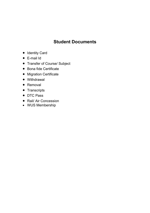# Student Documents

- Identity Card
- E-mail Id
- Transfer of Course/ Subject
- Bona fide Certificate
- **•** Migration Certificate
- Withdrawal
- Removal
- Transcripts
- DTC Pass
- Rail/ Air Concession
- WUS Membership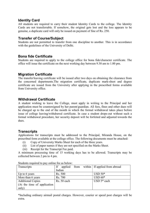#### Identity Card

All students are required to carry their student Identity Cards to the college. The Identity Cards are not transferrable. If somehow, the original gets lost and the loss appears to be genuine, a duplicate card will only be issued on payment of fine of Rs. 250.

#### Transfer of Course/Subject

Students are not permitted to transfer from one discipline to another. This is in accordance with the guidelines of the University of Delhi.

#### Bona fide Certificate

Students are required to apply to the college office for bona fide/character certificate. The office will issue the certificate on the next working day between 9.30 am to 1.00 pm.

#### Migration Certificate

The transfer/leaving certificate will be issued after two days on obtaining the clearance from the concerned departments.The migration certificate, duplicate mark-sheet and degree certificate are issued from the University after applying in the prescribed forms available from University office.

#### Withdrawal Certificate

A student wishing to leave the College, must apply in writing to the Principal and her application must be countersigned by her parent/guardian. All fees, fines and other dues will be charged up to the end of the month in which the formal withdrawal takes place before issue of college leaving/withdrawal certificate. In case a student drops-out without such a formal withdrawal procedure, her security deposit will be forfeited and adjusted towards the dues.

#### **Transcripts**

Applications for transcripts must be addressed to the Principal, Miranda House, on the prescribed form available at the college office. The following documents must be attached:

- (i) Copy of University Marks Sheet for each of the three years.
- (ii) List of paper names if they are not specified on the Marks Sheet.
- (iii) Receipt for the Transcript Fee paid.

A minimum processing time of 15 working days has to be allowed. Transcripts may be collected between 2 pm to 4 pm.

| Transcripts                 | If          |  | applied from within   If applied from abroad |
|-----------------------------|-------------|--|----------------------------------------------|
|                             | Indian      |  |                                              |
| Up to 6 years               | Rs. 500     |  | $USD 50*$                                    |
| More than 6 years           | Rs. 700     |  | $USD 60*$                                    |
| <b>Additional Copies</b>    | Rs. 50 each |  | USD $5*$ each                                |
| (At the time of application |             |  |                                              |
| only)                       |             |  |                                              |

Students required to pay online fee as below:

\*Including ordinary airmail postal charges. However, courier or speed post charges will be extra.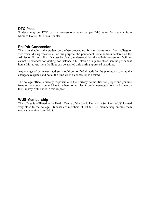#### DTC Pass

Students may get DTC pass at concessional rates, as per DTC rules for students from Miranda House DTC Pass Counter.

#### Rail/Air Concession

This is available to the student only when proceeding for their home town from college or vice-versa, during vacations. For this purpose, the permanent home address declared on the Admission Form is final. It must be clearly understood that the rail/air concession facilities cannot be extended for visiting, for instance, a hill station or a place other than the permanent home. Moreover, these facilities can be availed only during approved vacations.

Any change of permanent address should be notified directly by the parents as soon as the change takes place and not at the time when a concession is desired.

The college office is directly responsible to the Railway Authorities for proper and genuine issue of the concession and has to adhere tothe rules & guidelines/regulations laid down by the Railway Authorities in this respect.

#### WUS Membership

The college is affiliated to the Health Centre of the World University Services (WUS) located very close to the college. Students are members of WUS. This membership entitles them medical attention from WUS.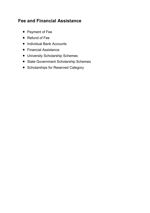# Fee and Financial Assistance

- Payment of Fee
- Refund of Fee
- Individual Bank Accounts
- Financial Assistance
- University Scholarship Schemes
- State Government Scholarship Schemes
- Scholarships for Reserved Category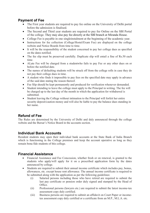#### Payment of Fee

- The First year students are required to pay fee online on the University of Delhi portal before the admission is finalised.
- The Second and Third year students are required to pay fee Online on the SBI Portal of the college. They may also pay fee directly at the SBI branch at Miranda House.
- College Fee is payable in one singleinstalment at the beginning of the academic year.
- Instructions for fee collection (College/Hostel/Exam Fee) are displayed on the college website and Notice Boards from time to time.
- It will be the responsibility of the student concerned to pay her college dues as specified on the dates notified.
- The fee slip must be preserved carefully. Duplicate slip will entail a fine of Rs.50 each time.
- ALate Fee will be charged from a studentwho fails to pay Fee or any other dues on or before the notified date.
- The names of defaulting students will be struck off from the college rolls in case they do not pay their college dues in time.
- A student who finds it impossible to pay fees on the specified date may apply in advance of the said date stating the reason thereof.
- Fee Slip should be kept permanently and produced for verification whenever demanded.
- Student intending to leave the college must apply to the Principal in writing. The fee will be charged up to the last day of the month in which the application for withdrawal is submitted.
- Student leaving the College without intimation to the Principal will forfeit her entire security deposit/caution money and will also be liable to pay the balance dues standing in her name.

#### Refund of Fee

The Rules are determined by the University of Delhi and duly announced through the college website and the Bursar's Notice Board in the accounts section.

#### Individual Bank Accounts

Resident students may open their individual bank accounts at the State Bank of India Branch which is functioning in the College premises and keep the account operative as long as they remain bona fide students of this college.

#### Financial Assistance

- Financial Assistance and Fee Concession, whether fresh or on renewal, is granted to the students who apply/will apply for it on a prescribed application form by the dates announced by college.
- Students are required to submit their annual income certificate which includes pay, bonus, allowances, etc. except house rent allowance. The annual income certificate is required to be submitted along with the application as per the following guidelines:
	- (i) Salaried persons including those who have retired are required to submit the last pay certificate or pension order duly signed and stamped by the Head of Office.
	- (ii) Professional persons (lawyers etc.) are required to submit the latest income-tax assessment copy duly certified.
	- (iii) Business persons are required to submit an affidavit on Court Paper or incometax assessment copy duly certified or a certificate from an M.P., M.L.A. etc.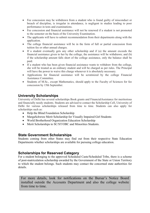- Fee concession may be withdrawn from a student who is found guilty of misconduct or breach of discipline, is irregular in attendance, is negligent in studies leading to poor performance in tests and examinations.
- Fee concession and financial assistance will not be renewed if a student is not promoted to the semester on the basis of the University Examination.
- The applicants will have to submit recommendation from their departments along with the application.
- The college financial assistance will be in the form of full or partial concession from tuition fee or other annual charges.
- If a student eventually gets any other scholarship and if (a) the amount exceeds the financial assistance given to her by the college, the assistance will be withdrawn; and (b) if the scholarship amount falls short of the college assistance, only the balance shall be paid.
- If a student who has been given financial assistance wants to withdraw from the college, she will be treated as an ordinary student and will be charged as per rules. The Principal will have the power to waive this charge whenever it is absolutely necessary.
- Applications for financial assistance will be scrutinized by the college Financial Assistance Committee.
- Students of M.Sc., except Mathematics, should apply to the Faculty of Sciences for fee concession by 15th September.

#### University Scholarships

University of Delhi has several scholarships Book grants and FinancialAssistance for meritorious and financially needy students. Students are advised to contact the Scholarship Cell, University of Delhi for various scholarships released from time to time. Students can also apply for scholarships such as:

- Help the Blind Foundation Scholarship
- MargaSchwtze Merit Scholarship for Visually Impaired Girl Students
- World Brotherhood Organization Education Scholarship
- Merit Scholarships to SC/ST/OBC and Minorities Students.

#### State Government Scholarships

Students coming from other States may find out from their respective State Education Departments whether scholarships are available for pursuing college education.

#### Scholarships for Reserved Category

For a student belonging to the approved Scheduled Caste/Scheduled Tribe, there is a scheme of post-matriculation scholarship awarded by the Government of the State or Union Territory to which the student belongs. Such students may contact the concerned state authorities for details.

For more details, look for notifications on the Bursar's Notice Board installed outside the Accounts Department and also the college website from time to time.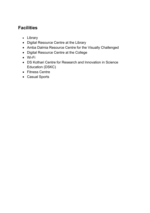# **Facilities**

- Library
- Digital Resource Centre at the Library
- Amba Dalmia Resource Centre for the Visually Challenged
- Digital Resource Centre at the College
- Wi-Fi
- DS Kothari Centre for Research and Innovation in Science Education (DSKC)
- Fitness Centre
- Casual Sports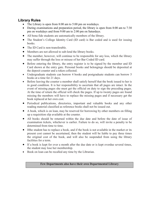#### Library Rules

- The Library is open from 8:00 am to 5:00 pm on weekdays.
- During examinations and preparation period, the library is open from 8:00 am to 7:30 pm on weekdays and from 9:00 am to 2:00 pm on Saturdays.
- All bona fide students are automatically members of the library.
- The Student's College Identity Card (ID card) is Bar coded and is used for issuing books.
- The ID Card is non-transferable.
- Members are not allowed to sub-lend the library books.
- The member, however, will continue to be responsible for any loss, which the library may suffer through the loss or misuse of her Bar Coded ID card.
- Before entering the library, the entry register is to be signed by the member and ID Card shown at the entry gate. Personal books and belongings should be deposited at the deposit counter and a token collected.
- Undergraduate students can borrow 4 books and postgraduate students can borrow 5 books at a time for 21 days.
- Before leaving the counter a member shall satisfy herself that the book issued to her is in good condition. It is her responsibility to ascertain that all pages are intact. In the event of missing pages she must get the official on duty to sign the preceding pages. At the time of return the official will check the pages. If up to twenty pages are found missing the members will have to replace the missing pages and if necessary get the book replaced at her own cost.
- Periodical publications, directories, important and valuable books and any other reading material classified as reference books shall not be issued out.
- A book, which is on loan, may be reserved for borrowing by other members on filling up a requisition slip available at the counter.
- All books should be returned within the due date and before the date of issue of examination tickets, whichever is earlier. Failure to do so, will invite a penalty to be determined from time to time.
- Ifthe student has to replace a book, and if the book is not available in the market or its present cost cannot be ascertained, then the student will be liable to pay three times the original cost of the book, and will also be suspended from using the library facilities for a term.
- If a book is kept for over a month after the due date or is kept overdue several times, the student may lose her membership.
- Book on loan can be recalled any time by the Librarian.

#### Few Departments also have their own Departmental Library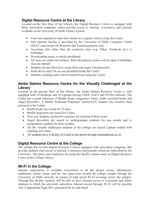### Digital Resource Centre at the Library

Located on the first floor of the Library, the Digital Resource Centre is equipped with thirty networked computers which provide access to internet, e-resources and journals available on the University of Delhi Library System.

- Users are required to enter their details in a register, before using the Centre.
- This Internet facility is provided by the University of Delhi Computer Centre (DUCC) and meant for Research and Teaching purpose only.
- Accessing sites other than the academic ones (e.g. Orkut, Facebook etc.) is forbidden.
- Downloading music is strictly prohibited.
- All users are under surveillance. Strict disciplinary action will be taken if forbidden sites are opened.
- Students are not allowed to create their own login with password.
- Flash drives and CDs are not permitted inside the Centre.
- Students violating rules will be banned from using the Centre.

#### Amba Dalmia Resource Centre for the Visually Challenged at the Library

Located on the ground floor of the Library, the Amba Dalmia Resource Centre is well equipped with 10 Desktops and 70 Laptops having JAWS, SAFA and NVDA software. The Centre has a good collection of Braille books, magazines, Daisy Audio recorded books and Angel Recorders. A Braille Embosser/Translator/ printer/LEX Scanner has recently been procured at the Centre.

- Braille books are issued for 21 days.
- Braille magazines are issued for 3 days.
- First year students can borrow cassettes for a period of three years.
- Angel Recorders are issued to undergraduate students for one month and to postgraduate students for three months.
- All the visually challenged students of the college are issued Laptops loaded with enabling soft wares.
- All students have a facility of e-mail at the portal through mirandahouse.ac.in.

### Digital Resource Centre at the College

The college has several Digital Resource Centres equipped with networked computers that provide students clear access to internet, e-resources and journals which are subscribed by the University. The terms and conditions for using this facility remain same as Digital Resource Centre at the College Library.

### Wi-Fi in the College

Internet connectivity is available everywhere in all the lecture rooms, laboratories, auditorium, hostel rooms, and the vast open areas around the college campus through the University of Delhi network, by means of high speed Wi-Fi coverage across the campus. Through this facility students will be able to have internet access to e-journals and online database to which the university subscribes. Internet access through Wi Fi will be possible only if appropriate login ID is generated for an individual.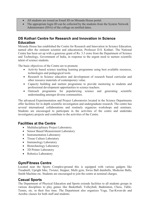- All students are issued an Email ID on Miranda House portal.
- The appropriate login ID can be collected by the students from the System Network Administrator (SNA) of the college on notified dates.

#### DS Kothari Centre for Research and Innovation in Science **Education**

Miranda House has established the Centre for Research and Innovation in Science Education, named after the eminent scientist and educationist, Professor D.S. Kothari. The National Centre has been set up with a generous grant of Rs. 3.3 crore from the Department of Science and Technology, Government of India, in response to the urgent need to nurture scientific talent of science students.

The basic objectives of the Centre are to promote

- Activity based science teaching learning programme using best available resources, technologies and pedagogical tools.
- Research in Science education and development of research based curricular and other resource materials of contemporary value.
- Capacity building and nurture programme to provide mentoring to students and professional development opportunities to science teachers.
- Outreach programme for popularizing science and generating scientific understanding amongst diverse communities.

The advanced Experimentation and Project Laboratories located in the Science Departments offer facilities for in depth scientific investigation and undergraduate research. The centre has several international collaborations and routinely organizes workshops and seminars. Students are encouraged to participate in the activities of the centre and undertake investigatory projects and contribute to the activities of the Centre.

#### Facilities at the Centre

- Multidisciplinary Project Laboratory.
- Sensor Based Measurement Laboratory
- Instrumentation Laboratory
- Tissue Culture Laboratory
- Immunology Laboratory
- Biotechnology Laboratory
- 3D Printer Laboratory
- Robotics Laboratory

#### Gym/Fitness Centre

Located near the Sports Complex/ground this is equipped with various gadgets like Treadmill, Upright bike, Twister, Stepper, Multi gym, Swiss Ball dumbells, Medicine Balls, Smith Machine etc. Students are encouraged to join the centre at nominal charges.

#### Casual Sports

The Department of Physical Education and Sports extends facilities to all students groups in various disciplines to play games like Basketball, Volleyball, Badminton, Chess, Table-Tennis, etc. in their free time. The Department also organizes Yoga, Tae-Kwon-do and Aerobic classes for both staff and students.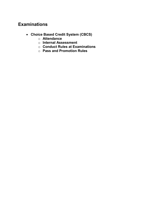## Examinations

- Choice Based Credit System (CBCS)
	- o Attendance
	- o Internal Assessment
	- o Conduct Rules at Examinations
	- o Pass and Promotion Rules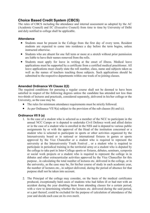#### Choice Based Credit System (CBCS)

The rules of CBCS including the attendance and internal assessment as adopted by the AC (Academic Council) and EC (Executive Council) from time to time by University of Delhi and duly notified to college shall be applicable.

#### **Attendance**

- Students must be present in the College from the first day of every term. Resident students are expected to come into residence a day before the term begins, unless instructed otherwise.
- Students who are absent for one full term or more at a stretch without prior permission are liable to have their names removed from the rolls.
- Students must apply for leave in writing at the onset of illness. Medical leave applications must be supported by a certificate from a certified medical practitioner. All leave applications must clearly state the roll number, class, name and subjects taken as well as the names of teachers teaching those subjects. Such applications should be submitted to the respective departments within one week of re-joining classes.

#### Amended Ordinance VII Clause 2(2)

The required conditions for pursuing a regular course shall not be deemed to have been satisfied in respect of the following degrees unless the candidate has attended not less than two-thirds of lectures and practicals, considered separately, delivered in his/her college or the University, as the case may be.

- The rules for minimum attendance requirements must be strictly followed.
- As per Ordinance VII 9(a) subject to the provision of the sub clauses (b) and (c).

#### Ordinance VII 9 (a)

- 1. In the case of a student who is selected as a member of the NCC to participate in the annual NCC Camps or is deputed to undertake Civil Defence work and allied duties or in the case of a student who is enrolled in the NSS and is deputed to various public assignments by or with the approval of the Head of the institution concerned or a student who is selected to participate in sports or other activities organized by the Interuniversity board or in national or international fixtures in games or sports approved by the Vice Chancellor or a student who is required to represent the university at the Interuniversity Youth Festival , or a student who is required to participate in periodical training in the territorial army or a student who is deputed by the college to take part in Inter-College sports or fixtures, debates, seminars, symposia or social work projects or a student who is required to represent the college in in debates and other extracurricular activities approved by the Vice Chancellor for this purpose , in calculating the total number of lectures etc. delivered in the college, or in the university, as the case may be, for his/her course of study in each academic year, the number of lectures etc., in subject delivered, during the period of absence for that purpose shall not be taken into account.
- 2. The Principal of the college may consider, on the basis of the medical certificates produced, exceptionally hard cases of students who had fallen ill or had met with an accident during the year disabling them from attending classes for a certain period, with a view to determining whether the lectures etc. delivered during the said period, or a part thereof, could be excluded for the purpose of calculation of attendance of the year and decide each case on its own merit.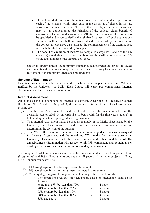- The college shall notify on the notice board the final attendance position of each of the students within three days of the dispersal of classes in the last session of the academic year. Not later than five days, thereafter, a student may, by an application to the Principal of the college, claim benefit of exclusion of lectures under sub-clause VII 9(a) stated above on the grounds to be specified and accompanied by the relative documents. All such applications submitted within time shall be considered and disposed of by the Principal of the college at least three days prior to the commencement of the examination, in which the student is intending to appear.
- The benefit of exclusion of lectures contemplated categories 1 and 2 of the sub clause (a) stated above, either separately or jointly, shall in no case exceed 1/3 of the total number of the lectures delivered.

Under all circumstances, the minimum attendance requirements are strictly followed and students will be allowed to appear for their final University Examinations only on fulfillment of the minimum attendance requirements.

#### Scheme of Examination

Examinations shall be conducted at the end of each Semester as per the Academic Calendar notified by the University of Delhi. Each Course will carry two components: Internal Assessment and End Semester Examination.

#### Internal Assessment

All courses have a component of Internal assessment. According to Executive Council Resolution No. 05 dated 1 May 2003, the important features of the internal assessment scheme are:

- (i) That Internal Assessment be made applicable to the students admitted from the academic session 2003-04 onwards (i.e. to begin with for the first year students) in both undergraduate and post-graduate degree courses.
- (ii) That Internal Assessment marks be shown separately in the Marks sheet issued by the University and these marks be added to the semester examination marks for determining the division of the student.
- (iii) That 25% of the maximum marks in each paper in undergraduate courses be assigned for Internal Assessment and the remaining 75% marks for the annual/semester University Examination; that the time duration and other modalities of the annual/semester Examination with respect to this 75% component shall remain as per existing schemes of examination for various undergraduate courses:

The components of Internal assessment marks for Semester students for all subjects in B.A. (Programme) and B.Sc. (Programme) courses and all papers of the main subjects in B.A., B.Sc. Honours courses will be:

- (i) 10% weightage for class tests/quizzes in the semester.
- (ii) 10% weightage for written assignments/projects in the semester.
- (iii) 5% weightage be given for regularity in attending lectures and tutorials.
	- The credit for regularity in each paper, based on attendance, shall be as follows.

| More than $67\%$ but less than $70\%$ | 1 mark  |
|---------------------------------------|---------|
| 70% or more but less than 75%         | 2 marks |
| 75% or more but less than 80%         | 3 marks |
| 80% or more but less than 85%         | 4 marks |
| 85% and above                         | 5 marks |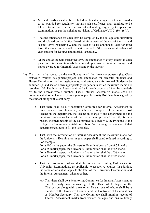- Medical certificates shall be excluded while calculating credit towards marks to be awarded for regularity, though such certificates shall continue to be taken into account for the purpose of calculating eligibility to appear for examinations as per the existing provisions of Ordinance VII. 2. (9) (a) (ii).
- That the attendance for each term be compiled by the college administration and displayed on the Notice Board within a week of the end of the first and second terms respectively, and the date is to be announced later for third term; that each teacher shall maintain a record of the term-wise attendance of each student for lectures and tutorials separately.
- At the end of the Semester/third term, the attendance of every student in each paper in lectures and tutorials be summed up, converted into percentage, and marks awarded for Internal Assessment by the teacher.
- (iv) That the marks scored by the candidates in all the three components (i.e. Class test/Quiz, Written assignment/project, and attendance for semester students and House Examination written assignments, and attendance for Annual Students) be summed up, and scaled down appropriately for papers in which maximum marks are less than 100. The Internal Assessment marks for each paper shall then be roundedoff to the nearest whole number. These Internal Assessment marks shall be communicated to the University each year as per University Roll Numbers signed by the student along with a soft copy.
	- That there shall be a Moderation Committee for Internal Assessment in each college, discipline-wise, which shall comprise of the senior most teacher in the department, the teacher-in-charge of the department and the previous teacher-in-charge of the department provided that if, for any reason, the membership of the Committee falls below 3, the Principal of the college shall nominate suitable members from among the teachers of that department/colleges to fill the vacancies.
	- That, with the introduction of Internal Assessment, the maximum marks for the University Examination in each paper shall stand reduced accordingly. For example: For a 100 marks paper, the University Examination shall be of 75 marks. For a 75 marks paper, the University Examination shall be of 55 marks. For a 50 marks paper, the University Examination shall be of 38 marks For a 33 marks paper, the University Examination shall be of 25 marks.
	- That the promotion criteria shall be as per the existing Ordinances for University Examinations, as applicable to respective courses. In addition, the same criteria shall apply to the total of the University Examination and the Internal Assessment, taken together.
		- (a) That there shall be a Monitoring Committee for Internal Assessment at the University level consisting of the Dean of Colleges as the Chairperson along with three other Deans, one of whom shall be a member of the Executive Council, and the Controller of Examinations as Member-Secretary. That the Committee shall monitor receipt of Internal Assessment marks from various colleges and ensure timely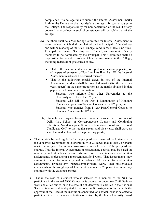compliance. If a college fails to submit the Internal Assessment marks in time, the University shall not declare the result for such a course in the College. The responsibility for non-declaration of the result of any course in any college in such circumstances will be solely that of the college.

- (b) That there shall be a Monitoring Committee for Internal Assessment in every college, which shall be chaired by the Principal of the College and will be made up of the Vice Principal (and in case there is no Vice-Principal, the Bursar), Secretary Staff Council, and two senior faculty members to be nominated by the Principal. This Committee shall be responsible for the entire process of Internal Assessment in the College, including redressal of grievances, if any.
	- That in the case of students who repeat one or more papers(s), or all papers of semester of Part I or Part II or Part III, the Internal Assessment marks shall be carried forward.
	- That in the following special cases, in lieu of the Internal Assessment, students shall be awarded marks (for the previous years papers) in the same proportion as the marks obtained in that paper in the University examination:
		- Students who migrate from other Universities to the University of Delhi in the  $II<sup>nd</sup>$  year.
		- Students who fail in the Part I Examination of Honours Courses and join Pass/General Courses in the II<sup>nd</sup> year; and
		- Students who transfer from I year Pass/General Courses to Honours Courses in the  $II<sup>nd</sup> Year$ .
	- (c) Students who migrate from non-formal streams in the University of Delhi (i.e., School of Correspondence Courses and Continuing Education, Non-Collegiate Women's Education Board and External Candidates Cell) to the regular stream and vice versa, shall carry as such the marks obtained in the preceding year(s).
- That tutorials be held regularly for the postgraduate courses of the University by the concerned Department in cooperation with Colleges; that at least 25 percent marks be assigned for Internal Assessment in each paper of the postgraduate courses. That the Internal Assessment in postgraduate courses may be based on regularity and attendance, class tests and house examinations, and written assignments, projects/term papers/seminars/field work. That Departments may assign 5 percent for regularity and attendance, 10 percent for and written assignments, projects/term papers/seminars/field work. That postgraduate courses where the weightage of Internal Assessment is 25 percent or more may continue with the existing schemes.
- That in the case of a student who is selected as a member of the NCC to participate in the annual NCC Camps or is deputed to undertake Civil Defence work and allied duties, or in the case of a student who is enrolled in the National Service Scheme and is deputed to various public assignments by or with the approval of the Head of the Institution concerned, or a student who is selected to participate in sports or other activities organized by the Inter-University Board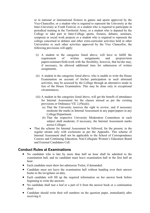or in national or international fixtures in games and sports approved by the Vice-Chancellor, or a student who is required to represent the University at the Inter-University at Youth Festival, or a student who is required to participate in periodical training in the Territorial Army, or a student who is deputed by the College to take part in Inter-College sports, fixtures, debates, seminars, symposia or social work projects or a student who is required to represent the college concerned in debates and other extra-curricular activities held in other Universities or such other activities approved by the Vice Chancellor, the following provisions will apply:

- (i) A student in the categories listed above, will have to fulfill the requirement of written assignments and projects/term papers/seminars/field-work with the flexibility, however, that he/she may, if necessary, be allowed additional time for submission of written assignments.
- (ii) A student in the categories listed above, who is unable to write the House Examination on account of his/her participation in such aforesaid activities, may be assessed by the College through an alternative mode in lieu of the House Examination. This may be done only in exceptional circumstances.
- (iii) A student in the categories listed above, will get the benefit of attendance for Internal Assessment for the classes missed as per the existing provisions or Ordinance VII. 2.(9)(a)(i).
	- (a) That the University reserves the right to review, and if necessary moderate the marks in Internal Assessment in any paper/papers in any College/Department.
	- (b) That the respective University Moderation Committees in each subject shall moderate, if necessary, the Internal Assessment marks across Colleges.
- That the scheme for Internal Assessment be followed, for the present, in the regular stream only with exclusions as per the Appendix. This scheme of Internal Assessment shall not be applicable to the School of Correspondence Courses and Continuing Education, Non-Collegiate Women's Education Board and External Candidates Cell.

#### Conduct Rules at Examinations

- No candidate who is late by more than half an hour shall be admitted to the examination hall, and no candidate must leave examination hall in the first half an hour.
- Each candidate must show her admission Ticket, if demanded.
- Candidate must not leave the examination hall without handing over their answer books to the invigilator on duty.
- Each candidate will fill up the required information on her answer book before beginning to write the answers.
- No candidate shall tear a leaf or a part of it from the answer book or a continuation sheet.
- Candidate should write their roll numbers on the question paper, immediately after receiving it.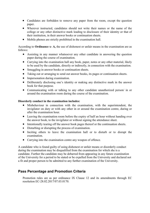- Candidates are forbidden to remove any paper from the room, except the question paper.
- Wherever instructed, candidates should not write their names or the name of the college or any other distinctive mark leading to disclosure of their identity or that of their institution, in their answer books or continuation sheets.
- Mobile phones are strictly prohibited in the examination hall.

According to Ordinance x- A, the use of dishonest or unfair means in the examination are as follows:

- Assisting in any manner whatsoever any other candidate in answering the question paper during the course of examination.
- Carrying into the examination hall any book, paper, notes or any other material, likely to be used by the candidate, directly or indirectly, in connection with the examination.
- Smuggling in answer books or continuation sheets.
- Taking out or arranging to send out answer books, its pages or continuation sheets.
- Impersonation during examination.
- Deliberately disclosing one's identity or making any distinctive mark in the answer book for that purpose.
- Communicating with or talking to any other candidate unauthorized person/ in or around the examination room during the course of the examination.

#### Disorderly conduct in the examination includes:

- Misbehaviour in connection with the examination, with the superintendent, the invigilator on duty or with any other in or around the examination centre, during or after the examination hour.
- Leaving the examination room before the expiry of half an hour without handing over the answer book, to the invigilator or without signing the attendance sheet.
- Intentionally tearing off the answer book pages thereof or the continuation sheets.
- Disturbing or disrupting the process of examination.
- Inciting others to leave the examination hall or to disturb or to disrupt the examination.
- Carrying into the examination centre any weapon of offence.

A candidate who is found guilty of using dishonest or unfair means or disorderly conduct during the examination may be disqualified from the examination for which she is a candidate. Further the candidate may be debarred from appearing in any future examination of the University for a period to be stated or be expelled from the University and declared not a fit and proper person to be admitted to any further examination of the University.

#### Pass Percentage and Promotion Criteria

Promotion rules are as per ordinance IX Clause 12 and its amendments through EC resolution EC-28.02.2017/07.03.0170.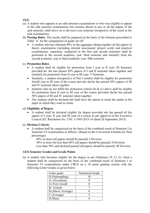12(1)

- (a) A student who appears in an odd semester examinations or who was eligible to appear in the odd semester examinations but remains absent in any or all the papers of the said semester, shall move on to the next even semester irrespective of her result in the said examinations.
- (b) Passing Rules: The results shall be prepared on the basis of the formula prescribed at Table 'A' for the computation of grade cut off.
	- A student who has obtained 40% in the aggregate taking together all the papers in theory examination (including internal assessment/ project work) and practical examinations, separately, conducted in the first and second semesters shall be promoted to the second academic year/ third semester and similarly from the second academic year to third academic year/ fifth semester.

#### (c) Promotion Rules:

- A student shall be eligible for promotion from I year to II year/ III Semester provided he/ she has passed 50% papers of I and II semester taken together and similarly for promotion from II year to III year/ V Semester.
- Similarly, a student (irrespective of Part I results) shall be eligible for promotion fromII year to III year of the course provide she/he has passed 50% papers of III and IV semester taken together.
- Students who do not fulfill the promotion criteria (b)  $\&$  (c) above shall be eligible for promotion from II year to III year of the course provided she/he has passed 50% papers of III and IV semester taken together.
- The students shall be declared fail shall have the option to retain the marks in the paper in which they want to retain.

#### (d) Eligibility of Degree:

 A student shall be declared eligible for degree provided she has passed all the papers of I year, II year and III year of a course as per approval of the Executive Council (EC Resolution No. CNC-11/093/2015-16 dated 28 September 2015).

#### (e) Division Criteria:

 A student shall be categorized on the basis of the combined result of Semester I to Semester VI examinations as follows: (Based on the Conversion Formula for final percentage)

60% or more (all papers should be passed); I Division

50% or more but less than 60% (all papers should be passed); II Division

Less than 50% and declared passed (all papers should be passed); III Division

#### 12(3) Semester Grades and Grade Points

(a) A student who becomes eligible for the degree as per Ordinance IX 12 (1). Such a student shall be categorized on the basis of the combined result of Semester I to Semester VI examinations under CBCS on a 10 point grading system with the following Letter Grades as given below:

| Letter grade      | Numerical Grade |
|-------------------|-----------------|
| O (Outstanding)   |                 |
| $A+$ (Excellent)  |                 |
| A (Very Good)     |                 |
| $B+$ (Good)       |                 |
| B (Above Average) |                 |
| C (Average)       |                 |
| $D$ (Pass)        |                 |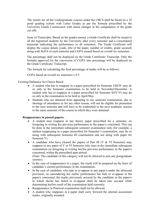The results for all the Undergraduate courses under the CBCS shall be based on a 10 point grading system with Letter Grades as per the formula prescribed by the University Grants Commission with minor changes in the computation of the grade cut offs.

 Issue of Transcripts: Based on the grades earned, a Grade Certificate shall be issued to all the registered students by the University after every semester and a consolidated transcript indicating the performance in all semesters. The Grade Certificate will display the course details (code, title of the paper, number of credits, grade secured) along with SGPA of each semester and CGPA earned based on overall six semesters.

The percentage shall not be displayed on the Grade Certificate/ Transcript. Only the formula approved for the conversion of CGPA into percentage will be displayed on the Grade Certificate/ Transcript.

The formula for calculating the final percentage of marks will be as follows:

CGPA based on overall six semesters x 9.5

#### Existing Ordinance for Choice Based

- A student who has to reappear in a paper prescribed for Semester I/III/IV may do so only in the Semester examination to be held in November/December. A student who has to reappear in a paper prescribed for Semester II/IV/VI may do so only in the examination to be held in April/May.
- Students who are detained from appearing in any semester examination, due to shortage of attendance or for any other reason, will not be eligible for promotion to the next semester and will have to be readmitted in the next academic session to the same semester of the course in which they were detained.

#### Reappearance in passed papers:

- A student may reappear in any theory paper prescribed for a semester, on foregoing in writing her previous performance in the paper/s concerned. This can be done in the immediate subsequent semester examination only (for example, a student reappearing in a paper prescribed for Semester I examination, may do so along with subsequent Semester III examination and not along with paper for Semester V).
- A candidate who have cleared the papers of Part III (V  $&$  VI Semester) may reappear in any paper of V or VI Semester only once at the immediate subsequent examination on foregoing in writing her/his previous performance in the paper/s concerned, within the prescribed span period.

(Note: The candidate of this category will not be allowed to join any postgraduate courses)

- In the case of reappearance in a paper, the result will be prepared on the basis of candidate's current performance in the examination.
- In the case of candidate, who opts to re-appear in any paper/s under the aforesaid provision, on surrendering her earlier performance but fails to re-appear in the paper/s concerned, the marks previously secured by the candidate in the paper/s in which she/he has failed to re-appear shall be taken into account while determining her/his result of the examination held currently.
- Reappearance in Practical examination shall not be allowed.
- A student who reappears in a paper shall carry forward the internal assessment marks, originally awarded.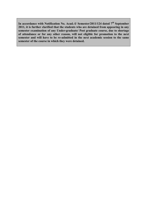In accordance with Notification No. Acad.-I/ Semester/2011/124 dated  $7<sup>th</sup>$  September 2011, it is further clarified that the students who are detained from appearing in any semester examination of any Under-graduate/ Post graduate course, due to shortage of attendance or for any other reason, will not eligible for promotion to the next semester and will have to be re-admitted in the next academic session to the same semester of the course in which they were detained.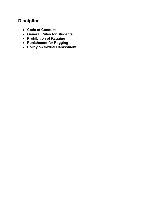# **Discipline**

- Code of Conduct
- General Rules for Students
- Prohibition of Ragging
- Punishment for Ragging
- Policy on Sexual Harassment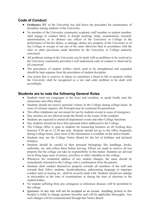### Code of Conduct

- Ordinance XV of the University has laid down the procedure for maintenance of discipline among students of the University.
- No member of the University community academic staff member or student member, shall engage in conduct likely to disrupt teaching, study, examinations, research, administration, or to obstruct any officer of the University or College in the performance of his/her duties, or damage, deface any property of the University or of any College or occupy or use any of the same otherwise than in accordance with the rules or other provisions made therefore by the University or College authority concerned.
- All problems arising in the University can be dealt with as problems to be resolved in the University community provided a well understood code of conduct is observed by all concerned.
- The procedures of student welfare which need to be strengthened and expanded should be kept separate from the procedures of student discipline.
- Any action that is coercive in nature or constitutes a threat to life or property within the University shall be recognized as a law and order problem to be dealt with accordingly.

#### Students are to note the following General Rules

- Students must not congregate in the foyer and corridors, or speak loudly near the classrooms and office block.
- Students should not receive personal visitors in the College during college hours. In cases of extreme urgency, the Principal may be contacted for permission.
- The office telephones are not meant for use by students except in cases of emergency.
- Day scholars are not allowed inside the Hostel or the rooms of the residents.
- Students are expected to attend all department events and other College functions.
- Day students should not have their personal letters addressed to the College.
- The College office is open to students for transacting business on all working days between 9.30 am to 12.30 pm only. Students should not go to the office frequently during College hours, since most of the information is available on the notice boards.
- Students may see the College Notice Board for the list of holidays and declared holidays.
- Students should be careful of their personal belongings like handbags, books, umbrellas, etc. and collect these before leaving. Efforts are made to retrieve all lost property but the college can take no responsibility in this matter. Students are advised not to bring large sums of money, jewellery or other valuables to the college.
- Whenever the residential address of any student changes, the same should be immediately informed to the College with a confirmation from the parents.
- Students shall conduct themselves properly towards all members of the staff and towards their fellow students. Insubordination, unbecoming language or improper conduct such as teasing etc., shall be severely dealt with. Students should not indulge in misconduct at the time of examinations or during the time of elections to the student bodies.
- No student suffering from any contagious or infectious diseases will be permitted in the college.
- Ignorance of any rule will not be accepted as an excuse. Anything printed in this booklet is liable to change anytime hereafter and will be applicable thoroughly. Any such changes will be communicated through this Notice Board.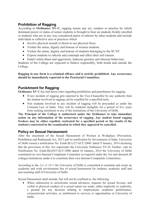## Prohibition of Ragging

According to Ordinance XV-C, ragging means any act, conduct or practice by which dominant power or status of senior students is brought to bear on students freshly enrolled or students who are in any way considered junior or inferior by other students and include individual or collective acts or practices which

- Involve physical assault or threat to use physical force.
- Violate the status, dignity and honour of women students.
- Violate the status, dignity and honour of students belonging to the SC/ST.
- Expose students to ridicule and contempt and affect their self esteem.
- Entail verbal abuse and aggression, indecent gestures and obscene behaviour.

Students of the College are expected to behave responsibly, both inside and outside the College.

Ragging in any form is a criminal offence and is strictly prohibited. Any occurrence should be immediately reported to the Proctorial Committee.

#### Punishment for Ragging

Ordinance XV C has laid down rules regarding prohibition and punishment for ragging:

- If any incident of ragging gets reported to the Vice-Chancellor by any authority then the student involved in ragging can be expelled for a specified term.
- Non students involved in any incident of ragging will be proceeded as under the Criminal Law of India. They will be rendered ineligible for a period of five years from seeking enrolment in any of the institutions of the University of Delhi.

The Principal of the College is authorized under the Ordinance to take immediate action on any information of the occurrence of ragging. Any student found ragging freshers may be either expelled, rusticated for a specified period or the results of the student/s concerned in the examination in which they appeared be cancelled.

### Policy on Sexual Harassment

After the enactment of the Sexual Harassment of Women at Workplace (Prevention, Prohibition and Redressed) Act, 2013 and its notification by Government of India, University of Delhi issued a notification No. Estab.II(1)/27/ACC/2006/ dated 9 January, 2014 declaring that the provisions of this Act supersedes the University Ordinance XV-D. Further, vide its Notification No. Estab.II(i)/027/ACC/2006 dated 16 January, 2014 the University of Delhi constituted its own Internal Complaints Committee as required under the Act and directed all colleges/institutions under it to constitute their own Internal Complaints Committees.

According to the Act of 2013 the University of Delhi is committed to maintain and create an academic and work environment free of sexual harassment for students, academic staff and non-teaching staff of University of Delhi.

Sexual Harassment shall include, but will not be confined to, the following:

 When submission to unwelcome sexual advances, requests for sexual favours, and verbal or physical conduct of a sexual nature are made, either implicitly or explicitly, a ground for any decision relating to employment, academic performance, extracurricular activities, or entitlement to services or opportunities at University of Delhi.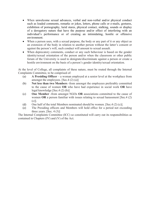- When unwelcome sexual advances, verbal and non-verbal and/or physical conduct such as loaded comments, remarks or jokes, letters, phone calls or e-mails, gestures, exhibition of pornography, lurid stares, physical contact, stalking, sounds or display of a derogatory nature that have the purpose and/or effect of interfering with an individual's performance or of creating an intimidating, hostile or offensive environment.
- When a person uses, with a sexual purpose, the body or any part of it or any object as an extension of the body in relation to another person without the latter's consent or against the person's will, such conduct will amount to sexual assault.
- When deprecatory comments, conduct or any such behaviour is based on the gender identity/sexual orientation of the person and/or when the classroom or other public forum of the University is used to denigrate/discriminate against a person or create a hostile environment on the basis of a person's gender identity/sexual orientation.

At the level of College, all complaints of these nature, must be routed through the Internal Complaints Committee, to be comprised of:

- (a) A Presiding Officer a woman employed at a senior level at the workplace from amongst the employees. [Sec.4  $(2)$   $(a)$ ]
- (b) Not less than two Members -from amongst the employees preferably committed to the cause of women OR who have had experience in social work OR have legal knowledge [Sec.4 (2) (b)]
- (c) One Member -from amongst NGOs OR associations committed to the cause of women OR a person familiar with issues relating to sexual harassment [Sec.4 (2) (c)].
- (d) One half of the total Members nominated should be women. [Sec.4  $(2)$   $(c)$ ].
- (e) The Presiding officers and Members will hold office for a period not exceeding three years.  $[Sec. 4 (3)]$

The Internal Complaints Committee (ICC) so constituted will carry out its responsibilities as contained in Chapters (IV) and (V) of the Act.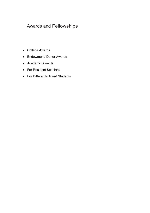# Awards and Fellowships

- College Awards
- Endowment/ Donor Awards
- Academic Awards
- For Resident Scholars
- For Differently Abled Students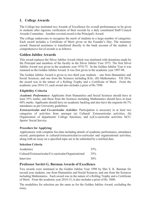#### I. College Awards

The College has instituted two Awards of Excellence for overall performances to be given to students after rigorous verification of their records by a duly constituted Staff Council Awards Committee. Another coveted award is the Principal's Award.

The college endeavours to recognize the merit of students in a large number of categories. Each award includes a Certificate of Merit given on the Founder's Day. The monetary award/ financial assistance is transferred directly to the bank account of the student. A comprehensive list of awards is as follows:

#### Golden Jubilee Awards

This award replaces the Silver Jubilee Award which was instituted with donations made by the Principal and members of the faculty in the Silver Jubilee Year 1973. The first Silver Jubilee Award was given in the academic year 1974-75. In the Golden Jubilee Year it was renamed as the Golden Jubilee Award. It was first given in the academic year 1997-98.

The Golden Jubilee Award is given to two third year students – one from Humanities and Social Sciences; and one from the Sciences including B.Sc. (H) Mathematics. Till 2014, the award was in the nature of a Rolling Trophy and a Certificate of Merit. From the academic year 2014-15, each award also includes a prize of Rs 7500.

#### Eligibility Criteria

Academic Performance: Applicants from Humanities and Social Sciences should have at least 55% marks; and those from the Sciences including Mathematics should have at least 60% marks. Applicants should have no academic backlog and also have the requisite 66.7% attendance as per University guidelines.

**Extracurricular and Co-curricular Activities:** Participation is necessary in at least two categories of activities from amongst (a) Cultural/ Extracurricular activities; (b) Organization of department/ College functions; and (c)Co-curricular activities NCC/ Sports/ Social Service.

#### Procedure for Applying

Applications with complete bio-data including details of academic performance, attendance record, participation in cultural/extracurricular/co-curricular and organizational activities, along with an essay on a specified topic are to be submitted by a notified date.

#### Selection Criteria

| Academics                                             | 35%    |
|-------------------------------------------------------|--------|
| Cultural/Extracurricular/Co-curricular/Organizational | 35%    |
| Interview                                             | $30\%$ |

#### Professor Savitri G. Burman Awards of Excellence

Two awards were instituted in the Golden Jubilee Year 1998 by Shri S. K. Burman for second year students, one from Humanities and Social Sciences; and one from the Sciences including Mathematics. Each award was in the nature of a Rolling Trophy and a Certificate of Merit. From the academic year 2014-15, it also includes a prize of Rs. 5000.

The modalities for selection are the same as for the Golden Jubilee Award, excluding the essay.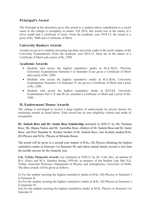#### Principal's Award

The Principal at her discretion gives this award to a student whose contribution to a social cause or the college is exemplary in nature. Till 2014, this award was in the nature of a silver medal and a certificate of merit. From the academic year 2014-15, the award is a prize of Rs. 5000 and a Certificate of Merit.

#### University Rankers Awards

Awards are given to students procuring top three university ranks in the north campus at the University Examinations. From the academic year 2014-15, these are in the nature of a Certificate of Merit and a prize of Rs. 2500.

#### Academic Awards

- Students who secure the highest cumulative marks in M.A./M.Sc. Previous University Examinations Semester I to Semester II are given a Certificate of Merit and a prize of Rs. 2500.
- Students who secure the highest cumulative marks in B.A./B.Sc. University Examinations Semester I to Semester IV are given a Certificate of Merit and a prize of Rs. 2500.
- Students who secure the highest cumulative marks in B.El.Ed. University Examinations Part I, II and III are awarded a Certificate of Merit and a prize of Rs. 2500.

#### II. Endowment/ Donor Awards

The college is privileged to receive a large number of endowments by private donors for instituting awards as listed below. Each award has its own eligibility criteria and mode of recognition.

Dr. Sudesh Bose and Dr. Samir Bose Scholarship instituted in 2020-21 by Ms. Purnima Bose, Ms. Bipasa Nadon and Mr. Amitabha Bose, children of Dr. Sudesh Bose and Dr. Samir Bose; and Prof. Rajindar K. Koshal, brother of Dr. Sudesh Bose, (nee Koshal) studied B.Sc. (H) Physics and M.Sc. Physics at Miranda House.

The award will be given to a second year student of B.Sc. (H) Physics obtaining the highest cumulative marks in Semester I to Semester III, and whose annual family income is less than the taxable income for the financial year.

S.K. Trikha Memorial Awards was instituted in 2020-21 by Dr. Usha Dev, an alumna of B.A. (Pass) and M.A. Sanskrit during 1959-64, in memory of her brother Late Shri S.K. Trikha, Associate Professor, Department of Physics and Astrophysics, University of Delhi. The three awards will be given as follows.

(i) For the student securing the highest cumulative marks in B.Sc. (H) Physics in Semester I to Semester II.

(ii) For the student securing the highest cumulative marks in B.Sc. (H) Physics in Semester I to Semester IV.

(iii) For the student securing the highest cumulative marks in M.Sc. Physics in Semester I to Semester II.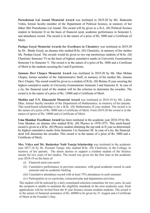Purushotam Lal Anand Memorial Award was instituted in 2019-20 by Ms. Shakuntla Vohra, former faculty member of the Department of Political Science, in memory of her father Shri Purushotam Lal Anand. The award will be given to a B.A. (H) Political Science student in Semester II on the basis of financial need, academic performance in Semester I, and attendance record. The award is in the nature of a prize of Rs. 5000 and a Certificate of Merit.

Pushpa Goyal Memorial Awards for Excellence in Chemistry was instituted in 2019-20 by Dr. Bindu Goyal, an alumna who studied B.Sc. (H) Chemistry, in memory of her mother Ms. Pushpa Goyal. The awards would be given to two top meritorious students of B.Sc. (H) Chemistry Semester VI on the basis of highest cumulative marks in University Examinations Semester I to Semester V. The award is in the nature of a prize of Rs. 5000 and a Certificate of Merit to the students securing the I and II positions,

Jamuna Devi Chopra Memorial Award was instituted in 2019-20 by Mr. Man Mohan Chopra, former member of the Administrative Staff, in memory of his mother Ms. Jamuna Devi Chopra. The award would be given to a student of B.Sc. (H) Botany II year securing the highest cumulative marks in University Examinations Semester I and Semester II. In case of a tie, the financial need of the student will be the criterion to determine the awardee. The award is in the nature of a prize of Rs. 15000 and a Certificate of Merit.

Shobha and T.N. Khazanchi Memorial Award was instituted in 2018-19 by Ms. Lalita Dhar, former faculty member of the Department of Mathematics, in memory of her parents. This need-based scholarship is for a B.Sc. (H) Mathematics II year student. The award is in the nature of a prize of Rs. 8000 and a Certificate of Merit. From 2019-20 the award is in the nature of aprize of Rs. 10000 and a Certificate of Merit.

Uma Shankar Excellence Award has been instituted in the academic year 2018-19 by Ms. Uma Shankar, an alumna who studied B.Sc. (H) Physics in 1970-1973. This merit-based award is given to a B.Sc. (H) Physics student obtaining the top rank in II year as determined by highest cumulative marks from Semester I to Semester III. In case of a tie, the financial need will determine the awardee. This award is in the nature of a prize of Rs. 5000 and a Certificate of Merit.

Mrs. Vidya and Mr. Basheshar Nath Taneja Scholarship was instituted in the academic year 2017-18 by Dr. Poonam Taneja who studied B.Sc. (H) Chemistry in the College, in memory of her parents. The donor desires to support a resident student of the Science stream for two years of her studies. The award was given for the first time in the academic year 2018-19 on the basis of

- (i) Financial need cum merit
- (ii) Cumulative performance in previous semesters, with good academic record in each semester and no academic backlog
- (iii) Cumulative attendance record with at least 75% attendance in each semester
- (iv) Participation in co-curricular, extracurricular and department activities.

The student will be selected by a duly constituted selection committee for two years. In case the recipient is unable to maintain the eligibility standards in the next academic year, fresh applications will be invited from the II year Science stream resident students. The award is in the nature of financial assistance of Rs. 60000 to be given by 31 August and a Certificate of Merit at the Founder's Day.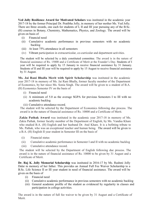Ved Jolly Resilience Award for Motivated Scholars was instituted in the academic year 2017-18 by the former Principal Dr. Pratibha Jolly, in memory of her mother Ms. Ved Jolly. There are three awards, one each for students of I, II and III year pursuing any of the B.Sc. (H) courses in Botany, Chemistry, Mathematics, Physics, and Zoology. The award will be given on basis of

- (i) Financial need
- (ii) Cumulative academic performance in previous semesters with no academic backlog
- (iii) At least 75% attendance in all semesters
- (iv) Vibrant participation in extracurricular, co-curricular and department activities.

The student will be selected by a duly constituted committee. The award is in the nature of financial assistance of Rs. 15000 and a Certificate of Merit at the Founder's Day. Students of I year will be required to apply by 15 January to receive financial assistance by 31 January. Students of II and III year will be required to apply by 15 August to receive financial assistance by 31 August.

Ms. Jai Rani Bhalla Merit with Spirit Scholarship was instituted in the academic year 2017-18 in memory of Ms. Jai Rani Bhalla, former faculty member of the Department of Economics, by her niece Ms. Sonia Singh. The award will be given to a student of B.A. (H) Economics Semester IV on the basis of

- (i) Financial need
- (ii) A minimum of 5.0 as the average SGPA for previous Semesters I to III with no academic backlog
- (iii) Cumulative attendance record.

The student will be selected by the Department of Economics following due process. The award is in the nature of financial assistance of Rs. 10000 and a Certificate of Merit.

Zakia Pathak Award was instituted in the academic year 2017-18 in memory of Ms. Zakia Pathak, former faculty member of the Department of English, by Ms. Vandna Khare who studied B.A. (H) English and her husband Dr. Atul Khare. It is a befitting tribute to Ms. Pathak, who was an exceptional teacher and human being. The award will be given to a B.A. (H) English II year student in Semester III on the basis of

- (i) Financial status
- (ii) Cumulative academic performance in Semester I and II with no academic backlog
- (iii) Cumulative attendance record.

The student will be selected by the Department of English following due process. The award is in the nature of financial assistance of Rs. 10000 to be given by 31 August and a Certificate of Merit.

Dr. Raj K. Jolly Memorial Scholarship was instituted in 2016-17 by Ms. Rashmi Jolly Dalai in memory of her father. This provides an Annual Full Fee Waiver Scholarship to a B.Sc. Life Science II or III year student in need of financial assistance. The award will be given on the basis of

- (i) Financial need
- (ii) Cumulative academic performance in previous semesters with no academic backlog
- (iii) General academic profile of the student as evidenced by regularity in classes and participation in college activities.

The award is in the nature of full fee waiver to be given by 31 August and a Certificate of Merit.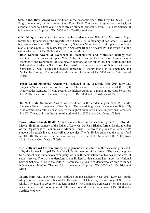Smt. Kanti Devi Award was instituted in the academic year 2016-17by Dr. Shashi Bala Singh, in memory of her mother Smt. Kanti Devi. The award is given on the basis of economic need to a first year Science stream student, preferably from B.Sc. Life Science. It is in the nature of a prize of Rs. 5000 and a Certificate of Merit.

G.K. Dhingra Award was instituted in the academic year 2014-15by Ms. Aruna Popli, former faculty member of the Department of Chemistry, in memory of her father. The award is given to a student of B.Sc. (H) Chemistry Semester VI on the basis of highest cumulative marks in the Organic Chemistry Papers in Semester III and Semester IV. The award is in the nature of a prize of Rs. 5000 and a Certificate of Merit.

Bose Karkun Award of Excellence in Biochemistry and Molecular Biology was instituted in the academic year 2014-15 by Dr. Tanima Karkun Bose, former faculty member of the Department of Zoology, in memory of her father Dr. J.N. Karkun and her father-in-law Professor S.K. Bose. The award is given to a student of B.Sc. (H) Zoology Semester VI who secures the highest aggregate of theory marks in Biochemistry and Molecular Biology. The award is in the nature of a prize of Rs. 5000 and a Certificate of Merit.

Prem Gulati Memorial Award was instituted in the academic year 2014-15by Ms. Sangeeta Gulati in memory of her mother. The award is given to a student of B.Sc. (H) Mathematics Semester VI who secures the highest cumulative marks in previous Semesters I to V. The award is in the nature of a prize of Rs. 3000 and a Certificate of Merit.

D. N. Gulati Memorial Award was instituted in the academic year 2014-15 by Ms. Sangeeta Gulati in memory of her father. The award is given to a student of B.Sc. (H) Mathematics Semester IV who secures the highest cumulative marks in previous Semesters I to III. The award is in the nature of a prize of Rs. 2000 and a Certificate of Merit.

Bawa Balwant Singh Bhalla Award was instituted in the academic year 2013-14by Ms. Meena Singh in memory of the father of Late Ms. Jai Rani Bhalla, former faculty member of the Department of Economics in Miranda House. The award is given to a Semester IV student who excels in sports as well as academics. The family has enhanced the corpus fund in 2017-18. The award is in the nature of a prize of Rs. 10000 (instead of Rs. 5000) from 2018-19 and a Certificate of Merit.

B. S. Jolly Award for Community Engagement was instituted in the academic year 2013- 14by the former Principal Dr. Pratibha Jolly, in memory of her father. The award is given to a student who undertakes exemplary work with demonstrable outcomes in the area of social service. The work undertaken is not limited to that undertaken under the National Service Scheme (NSS) in the college. Preference is given to students who are able to launch independent initiatives. The award is in the nature of a prize of Rs. 5000 and a Certificate of Merit.

Naunit Ram Ahuja Award was instituted in the academic year 2011-12by Dr. Sunita Ahuja, former faculty member of the Department of Chemistry, in memory of Shri N.R. Ahuja. The award is given to a student of B.Sc. (H) Chemistry Semester IV on the basis of academic merit and economic need. The award is in the nature of a prize of Rs. 5000 and a Certificate of Merit.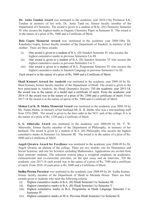Dr. Anita Tandon Award was instituted in the academic year 2010-11by Professor S.K. Tandon in memory of his wife, Dr. Anita Tand on, former faculty member of the Department of Chemistry. The award is given to a student of B.Sc. (H) Chemistry Semester IV who secures the highest marks in Organic Chemistry Paper in Semester II. The award is in the nature of a prize of Rs. 5000 and a Certificate of Merit.

Bela Gupta Memorial Award was instituted in the academic year 2009-10by Dr. Kaushalya Gupta, former faculty member of the Department of Sanskrit, in memory of her mother. There are three awards:

- (i) One award is given to a student of B.A. (H) Sanskrit Semester IV who secures the highest cumulative marks in previous Semesters I to III.
- (ii) One award is given to a student of B.A. (H) Sanskrit Semester VI who secures the highest cumulative marks in previous Semesters I to V.
- (iii) One award is given to a student of B.A. Programme Semester IV who secures the highest cumulative marks in Sanskrit Language in previous Semesters I to III.

Each award is in the nature of a prize of Rs. 5000 and a Certificate of Merit.

Shail Kumari Award for Anukriti was instituted in the academic year 2009-10 by Dr. Shail Kumari, former faculty member of the Department of Hindi. The award is given to the best participant in Anukriti, the Hindi Dramatics Society. Till the academic year 2013-14, the award was in the nature of a medal and a certificate of merit. From the academic year 2014-15 the award was in the nature of a prize of Rs. 2500 and a certificate of merit. From 2017-18 the award is in the nature of aprize of Rs. 5000 and a Certificate of Merit.

Mohan Lal K. B. Mehta Memorial Award was instituted in the academic year 2009-10 by Ms. Nutan Mehta, in memory of her husband Mr. K. B. Mehta who was a non-teaching staff from 1976-2009. The award is given to the best cadet in the NCC unit of the college. It is in the nature of a prize of Rs. 1250 and a Certificate of Merit.

S. S. Ahluwalia Award was instituted in the academic year 2008-09 by Dr. V. W. Ahluwalia, former faculty member of the Department of Philosophy, in memory of her husband. The award is given to a student of B.A. (H) Philosophy who secures the highest cumulative marks in Semester I to Semester III. The award is in the nature of a prize of Rs. 5000 and a Certificate of Merit.

Angeli Qwatra Award for Excellence was instituted in the academic year 2008-09 by Dr. Angeli Qwatra, an alumna of the college. There are two awards: one for Humanities and Social Sciences; and one for Sciences including Mathematics. Applications are invited from final semester students. The selection criteria place a weighted emphasis on academics, extracurricular and co-curricular activities, on the spot essay and an interview. Till the academic year 2017-18 each award was in the nature of a prize of Rs. 7500 and a certificate of merit. From 2018-19 each prize is Rs. 5000 and a Certificate of Merit.

Sudha Prerna Puraskar was instituted in the academic year 2008-09 by Dr. Sudha Kumar, former faculty member of the Department of Hindi in Miranda House. There are four awards given to students who meet the following criteria:

- (i) Highest cumulative marks in B.A. (H) Hindi Semester I to Semester III.
- (ii) Highest cumulative marks in B.A. (H) Hindi Semester I to Semester V.
- (iii) Highest cumulative marks in B.A. Programme in Hindi Language Semester I to Semester IV.
- (iv) Highest cumulative marks in M.A. Previous Hindi Semester I to Semester II.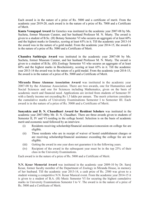Each award is in the nature of a prize of Rs. 5000 and a certificate of merit. From the academic year 2019-20, each award is in the nature of a prize of Rs. 7000 and a Certificate of Merit.

Kanta Venugopal Award for Genetics was instituted in the academic year 2007-08 by Ms. Sucheta, former Museum Curator, and her husband Professor M. N. Murty. The award is given to a student of B.Sc. (H) Botany Semester VI who secures an aggregate of at least 60% and the highest marks in Genetics, scoring at least 65% in it. Till the academic year 2013-14 the award was in the nature of a gold medal. From the academic year 2014-15, the award is in the nature of a prize of Rs. 5000 and a Certificate of Merit.

Chandra Sathiraju Award was instituted in the academic year 2007-08 by Ms. Sucheta, former Museum Curator, and her husband Professor M. N. Murty. The award is given to a student of B.Sc. (H) Zoology Semester VI who secures an aggregate of at least 60% and the highest marks in Biochemistry, scoring at least 65% in it. Till the academic year 2013-14 the award was in the nature of a gold medal. From the academic year 2014-15, the award is in the nature of a prize of Rs. 5000 and a Certificate of Merit.

Miranda House Alumnae Association Award was instituted in the academic year 2007-08 by the Alumnae Association. There are two awards, one for Humanities and Social Sciences and one for Sciences including Mathematics, given on the basis of academic merit and financial need. Applications are invited from students of Semester IV with a family income not exceeding Rs 1.5 lakhs per annum. The merit criterion considers the cumulative marks of University Examinations Semester I to Semester III. Each award is in the nature of a prize of Rs. 5000 and a Certificate of Merit.

Sanyukta and D. N. Chaudhari Award for Resident Scholars was instituted in the academic year 2007-08by Mr. D. N. Chaudhari. There are three awards given to students of Semester II, IV and VI residing in the college hostel. Selection is on the basis of academic merit and economic need followed by an interview.

- (i) Residents receiving scholarship/financial assistance/concession on college fee are eligible.
- (ii) Those residents who are in receipt of waiver of hostel establishment charges or are receiving scholarship/financial assistance exceeding the college fee are not eligible.
- (iii) Getting the award in one year does not guarantee it in the following years.
- (iv) Recipient of the award in the subsequent year must be in the top 25% of their class in the University Examinations.

Each award is in the nature of a prize of Rs. 5000 and a Certificate of Merit.

N.N. Kesar Memorial Award was instituted in the academic year 2009-10 by Dr. Saroj Kesar, former faculty member of the Department of Zoology in Miranda House, in memory of her husband. Till the academic year 2013-14, a cash prize of Rs. 2500 was given to a student winning a competitive N.N. Kesar Musical event. From the academic year 2014-15 it is given to a student of B.A. (H) Music Semester VI for securing the highest cumulative marks in University Examinations Semester I to V. The award is in the nature of a prize of Rs. 5000 and a Certificate of Merit.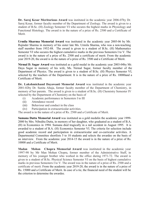Dr. Saroj Kesar Meritorious Award was instituted in the academic year 2006-07by Dr. Saroj Kesar, former faculty member of the Department of Zoology. The award is given to a student of B.Sc. (H) Zoology Semester VI who secures the highest marks in Physiology and Functional Histology. The award is in the nature of a prize of Rs. 2500 and a Certificate of Merit.

Urmila Sharma Memorial Award was instituted in the academic year 2005-06 by Mr. Rajinder Sharma in memory of his sister late Ms. Urmila Sharma, who was a non-teaching staff member from 1952-88. The award is given to a student of B.Sc. (H) Mathematics Semester VI who secures the highest cumulative marks in the previous Semesters I to V. The award is in the nature of a prize of Rs. 2500 and a certificate of merit. From the academic year 2019-20, the award is in the nature of a prize of Rs. 3500 and a Certificate of Merit.

Nirmal D. Sagar Award was instituted as a gold medal in the academic year 2003-04by Mr. Daya Sagar in memory of his wife, Ms. Nirmal Sagar, former faculty member of the Department of Physics. The award is given to a student of B.Sc. (H) Physics Semester VI, selected by the teachers of the Department. It is in the nature of a prize of Rs. 10000and a Certificate of Merit.

Dr. Lakshmichand Dayawanti Memorial Award was instituted in the academic year 2001-02by Dr. Sunita Ahuja, former faculty member of the Department of Chemistry, in memory of her parents. The award is given to a student of B.Sc. (H) Chemistry Semester IV selected by the Department of Chemistry on the basis of

- (i) Academic performance in Semesters I to III
- (ii) Attendance record
- (iii) Behaviour and conduct in the class
- (iv) Participation in extracurricular activities.

The award is in the nature of a prize of Rs. 2500 and a Certificate of Merit.

Sumana Dutta Memorial Award was instituted as a gold medalin the academic year 1999- 2000 by Mrs. Nibedita Dutta, in memory of her daughter, who graduated as a student of B.A. (H) in Economics in 1994. Sumana died tragically in a rail accident in August 1995. It is awarded to a student of B.A. (H) Economics Semester VI. The criteria for selection include good academic record and participation in extracurricular and co-curricular activities. A Departmental Committee shortlists 5 to 10 students and selects the awardee on the basis of an interview. From the academic year 2014-15 the award is in the nature of a prize of Rs. 10000 and a Certificate of Merit.

Madan Mohan Chopra Memorial Award was instituted in the academic year 1997-98 by Mr Man Mohan Chopra, former member of the Administrative Staff, in memory of his younger brother who worked in the office during 1971-72. The award is given to a student of B.Sc. Physical Science Semester VI on the basis of highest cumulative marks in previous Semesters I to V. The award was in the nature of a prize of Rs. 2500 and a certificate of merit. From the academic year 2019-20, the award is in the nature of a prize of Rs. 15000 and a Certificate of Merit. In case of a tie, the financial need of the student will be the criterion to determine the awardee.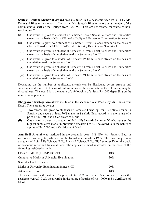Santosh Bhutani Memorial Award was instituted in the academic year 1993-94 by Ms. Damyanti Bhutani in memory of her sister Ms. Santosh Bhutani who was a member of the administrative staff of the College from 1950-92. There are six awards for wards of nonteaching staff.

- (i) One award is given to a student of Semester II from Social Sciences and Humanities stream on the basis of Class XII marks (BoF) and University Examination Semester I.
- (ii) One award is given to a student of Semester II from Science stream on the basis of Class XII marks (PCM/PCB/BoF) and University Examination Semester I.
- (iii) One award is given to a student of Semester IV from Social Sciences and Humanities stream on the basis of cumulative marks in Semesters I to III.
- (iv) One award is given to a student of Semester IV from Science stream on the basis of cumulative marks in Semesters I to III.
- (v) One award is given to a student of Semester VI from Social Sciences and Humanities stream on the basis of cumulative marks in Semesters I to V.
- (vi) One award is given to a student of Semester VI from Science stream on the basis of cumulative marks in Semesters I to V.

Depending on the number of applicants, awards can be distributed across streams and semesters as deemed fit. In case of failure in any of the examinations the fellowship may be discontinued. The award is in the nature of a fellowship of at least Rs.1000 depending on the number of applicants.

Bhagyawati Rustagi Award was instituted in the academic year 1992-93by Mr. Rameshwar Dayal. There are three awards:

- (i) Two awards are given to students of Semester I who opt for Discipline Course in Sanskrit and secure at least 70% marks in Sanskrit. Each award is in the nature of a prize of Rs.1500 and a Certificate of Merit.
- (ii) One award is given to a student of B.A. (H) Sanskrit Semester VI who secures the highest cumulative marks in previous Semesters I to V. The award is in the nature of a prize of Rs. 2000 and a Certificate of Merit.

Anu Bedi Award was instituted in the academic year 1988-89by Mr. Prakesh Bedi in memory of his daughter, who died in the Kanishka air crash in 1985. The award is given to a student of B.Sc. Life Science/ B.Sc. Physical Science/B.Sc. (H) Semester IV on the basis of academic merit and financial need. The applicant's merit is decided on the basis of the following weighted criteria:

| Class XII Marks (PCM/PCB/BoF)                | $10\%$ |
|----------------------------------------------|--------|
| Cumulative Marks in University Examination   | $30\%$ |
| Semester I and Semester II                   |        |
| Marks in University Examination Semester III | $50\%$ |
| <b>Attendance Record</b>                     | $10\%$ |

The award was in the nature of a prize of Rs. 6000 and a certificate of merit. From the academic year 2019-20, the award is in the nature of a prize of Rs. 10000 and a Certificate of Merit.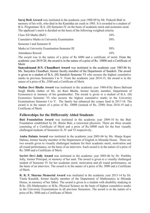Saroj Bedi Award was instituted in the academic year 1988-89 by Mr. Prakesh Bedi in memory of his wife, who died in the Kanishka air crash in 1985. It is awarded to a student of B.A. Programme/ B.A. (H) Semester IV on the basis of academic merit and economic need. The applicant's merit is decided on the basis of the following weighted criteria:

| Class XII Marks (BoF)                        | $10\%$ |
|----------------------------------------------|--------|
| Cumulative Marks in University Examination   | $30\%$ |
| Semester I and Semester II                   |        |
| Marks in University Examination Semester III | $50\%$ |
| <b>Attendance Record</b>                     | $10\%$ |

The award was in the nature of a prize of Rs 6000 and a certificate of merit. From the academic year 2019-20, the award is in the nature of a prize of Rs. 10000 and a Certificate of Merit.

Sanyuktaand D.N. Chaudhari Award was instituted in the academic year 1985-86 by Ms. Sanyukta Chaudhari, former faculty member of the Department of Sanskrit. The award is given to a student of B.A. (H) Sanskrit Semester VI who secures the highest cumulative marks in previous Semesters I to V. From the academic year 2014-15, the award is in the nature of a prize of Rs. 2500 and a Certificate of Merit.

Mallan Devi Bhalla Award was instituted in the academic year 1980-81by Bawa Balwant Singh Bhalla (father of Ms. Jai Rani Bhalla, former faculty member, Department of Economics) in memory of his grandmother. The award is given to a student of B.A. (H) Economics Semester VI who secures the highest cumulative marks in the University Examinations Semester I to V. The family has enhanced the corpus fund in 2017-18. The award is in the nature of a prize of Rs. 10000 (instead of Rs. 2500) from 2018-19 and a Certificate of Merit.

#### Fellowships for the Differently Abled Students

Buti Foundation Award was instituted in the academic year 2009-10 by the Buti Foundation established by Dr. Bimla Buti, a renowned physicist. There are three awards consisting of a Certificate of Merit and a prize of Rs.10000 each for the best visually challenged students of Semesters II, IV and VI respectively.

Amba Dalmia Award was instituted in the academic year 2005-06 by Ms. Manju Kapur Dalmia, former faculty member of the Department of English in Miranda House. There are two awards given to visually challenged students for their academic merit, motivation and all round performance, on the basis of an interview. Each award is in the nature of a prize of Rs. 5000 and a Certificate of Merit.

Savitri Devi Jolly Award was instituted in the academic year 2005-06 by Dr. Pratibha Jolly, former Principal, in memory of her aunt. The award is given to a visually challenged student of Semester IV for her academic merit, motivation and all round performance, on the basis of an interview. The award is in the nature of a prize of Rs. 5000 and a Certificate of Merit.

R. R. P. Sharma Memorial Award was instituted in the academic year 2013-14 by Dr. Vimla Kaushik, former faculty member of the Department of Mathematics in Miranda House, in memory of her father. The award is given to a student with disability studying in B.Sc. (H) Mathematics or B.Sc. Physical Science on the basis of highest cumulative marks in the University Examinations in all previous Semesters. The award is in the nature of a prize of Rs. 5000 and a Certificate of Merit.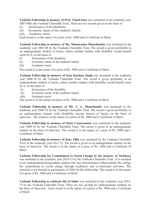Yashoda Fellowship in memory of Prof. Vinod Sena was instituted in the academic year 2007-08by the Yashoda Charitable Trust. There are two awards given on the basis of

- (i) Seriousness of the disability
- (ii) Economic status of the student's family
- (iii) Academic merit.

Each award is in the nature of a prize of Rs. 5000 and a Certificate of Merit.

Yashoda Fellowship in memory of Ms. Manorama Manchanda was instituted in the academic year 2007-08 by the Yashoda Charitable Trust. The award is given preferably to an undergraduate student of music, unless another student with disability would benefit more by it, on the basis of

- (i) Seriousness of the disability
- (ii) Economic status of the student's family
- (iii) Academic merit.

The award is in the nature of a prize of Rs. 5000 and a Certificate of Merit.

Yashoda Fellowship in memory of Sant Darshan Singh was instituted in the academic year 2009-10 by the Yashoda Charitable Trust. The award is given preferably to an undergraduate student of music, unless another student with disability would benefit more by it, on the basis of

- (i) Seriousness of the disability
- (ii) Economic status of the student's family
- (iii) Academic merit.

The award is in the nature ofa prize of Rs. 5000 and a Certificate of Merit.

Yashoda Fellowship in memory of Mr. C. L. Manchanda was instituted in the academic year 2009-10 by the Yashoda Charitable Trust. The award is given preferably to an undergraduate student with disability having interest in Sports on the basis of interview. The award is in the nature of a prize of Rs. 5000 and a Certificate of Merit.

Yashoda Fellowship in memory of Sister Camermans was instituted in the academic year 2009-10 by the Yashoda Charitable Trust. The award is given to an undergraduate student on the basis of interview. The award is in the nature of a prize of Rs. 5000 and a Certificate of Merit.

Yashoda Fellowship in memory of Kate Tillis was instituted by the Yashoda Charitable Trust in the academic year 2011-12. The award is given to an undergraduate student on the basis of interview. The award is in the nature of a prize of Rs. 5000 and a Certificate of Merit.

Yashoda Fellowship for Commitment to Social Change in the memory of Nirbhaya was instituted in the academic year 2014-15 by the Yashoda Charitable Trust. It is awarded to an undergraduate/postgraduate student who has demonstrated within/outside the college her commitment to social change through academics and co-curricular activities. The selection is not limited to participants of NSS for this fellowship. The award is in the nature of a prize of Rs. 5000 and a Certificate of Merit.

Yashoda Fellowship to celebrate life of Subir was instituted in the academic year 2014- 15 by the Yashoda Charitable Trust. There are two awards for undergraduate students on the basis of interview. Each award is in the nature of a prize of Rs. 5000 and a Certificate of Merit.